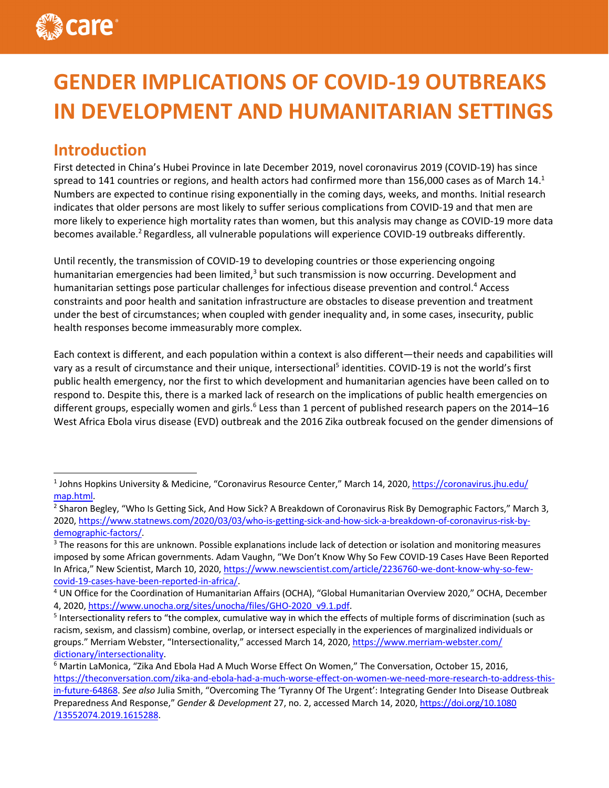# **GENDER IMPLICATIONS OF COVID-19 OUTBREAKS IN DEVELOPMENT AND HUMANITARIAN SETTINGS**

# **Introduction**

First detected in China's Hubei Province in late December 2019, novel coronavirus 2019 (COVID-19) has since spread to 141 countries or regions, and health actors had confirmed more than 156,000 cases as of March 14.<sup>1</sup> Numbers are expected to continue rising exponentially in the coming days, weeks, and months. Initial research indicates that older persons are most likely to suffer serious complications from COVID-19 and that men are more likely to experience high mortality rates than women, but this analysis may change as COVID-19 more data becomes available.<sup>2</sup> Regardless, all vulnerable populations will experience COVID-19 outbreaks differently.

Until recently, the transmission of COVID-19 to developing countries or those experiencing ongoing humanitarian emergencies had been limited, $3$  but such transmission is now occurring. Development and humanitarian settings pose particular challenges for infectious disease prevention and control.4 Access constraints and poor health and sanitation infrastructure are obstacles to disease prevention and treatment under the best of circumstances; when coupled with gender inequality and, in some cases, insecurity, public health responses become immeasurably more complex.

Each context is different, and each population within a context is also different—their needs and capabilities will vary as a result of circumstance and their unique, intersectional<sup>5</sup> identities. COVID-19 is not the world's first public health emergency, nor the first to which development and humanitarian agencies have been called on to respond to. Despite this, there is a marked lack of research on the implications of public health emergencies on different groups, especially women and girls.<sup>6</sup> Less than 1 percent of published research papers on the 2014–16 West Africa Ebola virus disease (EVD) outbreak and the 2016 Zika outbreak focused on the gender dimensions of

<sup>1</sup> Johns Hopkins University & Medicine, "Coronavirus Resource Center," March 14, 2020, https://coronavirus.jhu.edu/ map.html.

<sup>&</sup>lt;sup>2</sup> Sharon Begley, "Who Is Getting Sick, And How Sick? A Breakdown of Coronavirus Risk By Demographic Factors," March 3, 2020, https://www.statnews.com/2020/03/03/who-is-getting-sick-and-how-sick-a-breakdown-of-coronavirus-risk-bydemographic-factors/.

<sup>&</sup>lt;sup>3</sup> The reasons for this are unknown. Possible explanations include lack of detection or isolation and monitoring measures imposed by some African governments. Adam Vaughn, "We Don't Know Why So Few COVID-19 Cases Have Been Reported In Africa," New Scientist, March 10, 2020, https://www.newscientist.com/article/2236760-we-dont-know-why-so-fewcovid-19-cases-have-been-reported-in-africa/.

<sup>4</sup> UN Office for the Coordination of Humanitarian Affairs (OCHA), "Global Humanitarian Overview 2020," OCHA, December 4, 2020, https://www.unocha.org/sites/unocha/files/GHO-2020\_v9.1.pdf.

<sup>&</sup>lt;sup>5</sup> Intersectionality refers to "the complex, cumulative way in which the effects of multiple forms of discrimination (such as racism, sexism, and classism) combine, overlap, or intersect especially in the experiences of marginalized individuals or groups." Merriam Webster, "Intersectionality," accessed March 14, 2020, https://www.merriam-webster.com/ dictionary/intersectionality.

<sup>6</sup> Martin LaMonica, "Zika And Ebola Had A Much Worse Effect On Women," The Conversation, October 15, 2016, https://theconversation.com/zika-and-ebola-had-a-much-worse-effect-on-women-we-need-more-research-to-address-thisin-future-64868. *See also* Julia Smith, "Overcoming The 'Tyranny Of The Urgent': Integrating Gender Into Disease Outbreak Preparedness And Response," *Gender & Development* 27, no. 2, accessed March 14, 2020, https://doi.org/10.1080 /13552074.2019.1615288.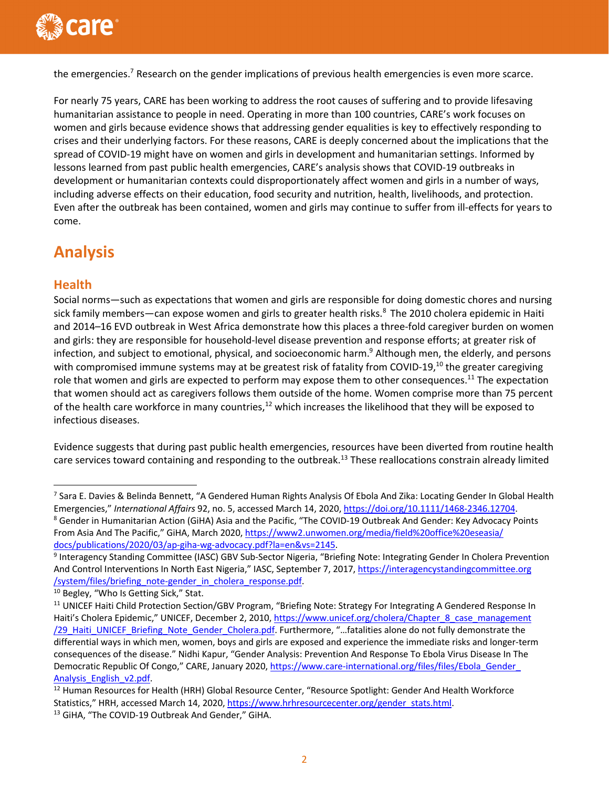

the emergencies.<sup>7</sup> Research on the gender implications of previous health emergencies is even more scarce.

For nearly 75 years, CARE has been working to address the root causes of suffering and to provide lifesaving humanitarian assistance to people in need. Operating in more than 100 countries, CARE's work focuses on women and girls because evidence shows that addressing gender equalities is key to effectively responding to crises and their underlying factors. For these reasons, CARE is deeply concerned about the implications that the spread of COVID-19 might have on women and girls in development and humanitarian settings. Informed by lessons learned from past public health emergencies, CARE's analysis shows that COVID-19 outbreaks in development or humanitarian contexts could disproportionately affect women and girls in a number of ways, including adverse effects on their education, food security and nutrition, health, livelihoods, and protection. Even after the outbreak has been contained, women and girls may continue to suffer from ill-effects for years to come.

# **Analysis**

## **Health**

Social norms—such as expectations that women and girls are responsible for doing domestic chores and nursing sick family members—can expose women and girls to greater health risks.<sup>8</sup> The 2010 cholera epidemic in Haiti and 2014–16 EVD outbreak in West Africa demonstrate how this places a three-fold caregiver burden on women and girls: they are responsible for household-level disease prevention and response efforts; at greater risk of infection, and subject to emotional, physical, and socioeconomic harm.<sup>9</sup> Although men, the elderly, and persons with compromised immune systems may at be greatest risk of fatality from COVID-19,<sup>10</sup> the greater caregiving role that women and girls are expected to perform may expose them to other consequences.<sup>11</sup> The expectation that women should act as caregivers follows them outside of the home. Women comprise more than 75 percent of the health care workforce in many countries, $12$  which increases the likelihood that they will be exposed to infectious diseases.

Evidence suggests that during past public health emergencies, resources have been diverted from routine health care services toward containing and responding to the outbreak.<sup>13</sup> These reallocations constrain already limited

<sup>7</sup> Sara E. Davies & Belinda Bennett, "A Gendered Human Rights Analysis Of Ebola And Zika: Locating Gender In Global Health Emergencies," *International Affairs* 92, no. 5, accessed March 14, 2020, https://doi.org/10.1111/1468-2346.12704. <sup>8</sup> Gender in Humanitarian Action (GiHA) Asia and the Pacific, "The COVID-19 Outbreak And Gender: Key Advocacy Points From Asia And The Pacific," GiHA, March 2020, https://www2.unwomen.org/media/field%20office%20eseasia/ docs/publications/2020/03/ap-giha-wg-advocacy.pdf?la=en&vs=2145.

<sup>&</sup>lt;sup>9</sup> Interagency Standing Committee (IASC) GBV Sub-Sector Nigeria, "Briefing Note: Integrating Gender In Cholera Prevention And Control Interventions In North East Nigeria," IASC, September 7, 2017, https://interagencystandingcommittee.org /system/files/briefing\_note-gender\_in\_cholera\_response.pdf.

<sup>&</sup>lt;sup>10</sup> Begley, "Who Is Getting Sick," Stat.

<sup>&</sup>lt;sup>11</sup> UNICEF Haiti Child Protection Section/GBV Program, "Briefing Note: Strategy For Integrating A Gendered Response In Haiti's Cholera Epidemic," UNICEF, December 2, 2010, https://www.unicef.org/cholera/Chapter\_8\_case\_management /29\_Haiti\_UNICEF\_Briefing\_Note\_Gender\_Cholera.pdf. Furthermore, "...fatalities alone do not fully demonstrate the differential ways in which men, women, boys and girls are exposed and experience the immediate risks and longer-term consequences of the disease." Nidhi Kapur, "Gender Analysis: Prevention And Response To Ebola Virus Disease In The Democratic Republic Of Congo," CARE, January 2020, https://www.care-international.org/files/files/Ebola\_Gender Analysis\_English\_v2.pdf.

<sup>&</sup>lt;sup>12</sup> Human Resources for Health (HRH) Global Resource Center, "Resource Spotlight: Gender And Health Workforce Statistics," HRH, accessed March 14, 2020, https://www.hrhresourcecenter.org/gender\_stats.html.

<sup>&</sup>lt;sup>13</sup> GiHA, "The COVID-19 Outbreak And Gender," GiHA.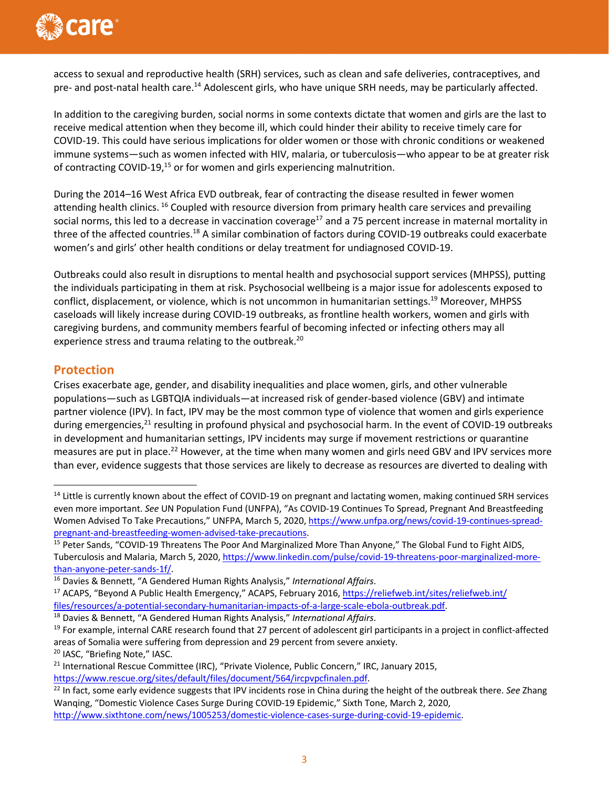

access to sexual and reproductive health (SRH) services, such as clean and safe deliveries, contraceptives, and pre- and post-natal health care.<sup>14</sup> Adolescent girls, who have unique SRH needs, may be particularly affected.

In addition to the caregiving burden, social norms in some contexts dictate that women and girls are the last to receive medical attention when they become ill, which could hinder their ability to receive timely care for COVID-19. This could have serious implications for older women or those with chronic conditions or weakened immune systems—such as women infected with HIV, malaria, or tuberculosis—who appear to be at greater risk of contracting COVID-19,<sup>15</sup> or for women and girls experiencing malnutrition.

During the 2014–16 West Africa EVD outbreak, fear of contracting the disease resulted in fewer women attending health clinics. <sup>16</sup> Coupled with resource diversion from primary health care services and prevailing social norms, this led to a decrease in vaccination coverage<sup>17</sup> and a 75 percent increase in maternal mortality in three of the affected countries.<sup>18</sup> A similar combination of factors during COVID-19 outbreaks could exacerbate women's and girls' other health conditions or delay treatment for undiagnosed COVID-19.

Outbreaks could also result in disruptions to mental health and psychosocial support services (MHPSS), putting the individuals participating in them at risk. Psychosocial wellbeing is a major issue for adolescents exposed to conflict, displacement, or violence, which is not uncommon in humanitarian settings.<sup>19</sup> Moreover, MHPSS caseloads will likely increase during COVID-19 outbreaks, as frontline health workers, women and girls with caregiving burdens, and community members fearful of becoming infected or infecting others may all experience stress and trauma relating to the outbreak.<sup>20</sup>

## **Protection**

Crises exacerbate age, gender, and disability inequalities and place women, girls, and other vulnerable populations—such as LGBTQIA individuals—at increased risk of gender-based violence (GBV) and intimate partner violence (IPV). In fact, IPV may be the most common type of violence that women and girls experience during emergencies,<sup>21</sup> resulting in profound physical and psychosocial harm. In the event of COVID-19 outbreaks in development and humanitarian settings, IPV incidents may surge if movement restrictions or quarantine measures are put in place.<sup>22</sup> However, at the time when many women and girls need GBV and IPV services more than ever, evidence suggests that those services are likely to decrease as resources are diverted to dealing with

<sup>18</sup> Davies & Bennett, "A Gendered Human Rights Analysis," *International Affairs*.

 $14$  Little is currently known about the effect of COVID-19 on pregnant and lactating women, making continued SRH services even more important. *See* UN Population Fund (UNFPA), "As COVID-19 Continues To Spread, Pregnant And Breastfeeding Women Advised To Take Precautions," UNFPA, March 5, 2020, https://www.unfpa.org/news/covid-19-continues-spreadpregnant-and-breastfeeding-women-advised-take-precautions.

<sup>&</sup>lt;sup>15</sup> Peter Sands, "COVID-19 Threatens The Poor And Marginalized More Than Anyone," The Global Fund to Fight AIDS, Tuberculosis and Malaria, March 5, 2020, https://www.linkedin.com/pulse/covid-19-threatens-poor-marginalized-morethan-anyone-peter-sands-1f/.

<sup>16</sup> Davies & Bennett, "A Gendered Human Rights Analysis," *International Affairs*.

<sup>&</sup>lt;sup>17</sup> ACAPS, "Beyond A Public Health Emergency," ACAPS, February 2016, https://reliefweb.int/sites/reliefweb.int/ files/resources/a-potential-secondary-humanitarian-impacts-of-a-large-scale-ebola-outbreak.pdf.

<sup>&</sup>lt;sup>19</sup> For example, internal CARE research found that 27 percent of adolescent girl participants in a project in conflict-affected areas of Somalia were suffering from depression and 29 percent from severe anxiety. <sup>20</sup> IASC, "Briefing Note," IASC.

<sup>&</sup>lt;sup>21</sup> International Rescue Committee (IRC), "Private Violence, Public Concern," IRC, January 2015, https://www.rescue.org/sites/default/files/document/564/ircpvpcfinalen.pdf.

<sup>22</sup> In fact, some early evidence suggests that IPV incidents rose in China during the height of the outbreak there. *See* Zhang Wanqing, "Domestic Violence Cases Surge During COVID-19 Epidemic," Sixth Tone, March 2, 2020, http://www.sixthtone.com/news/1005253/domestic-violence-cases-surge-during-covid-19-epidemic.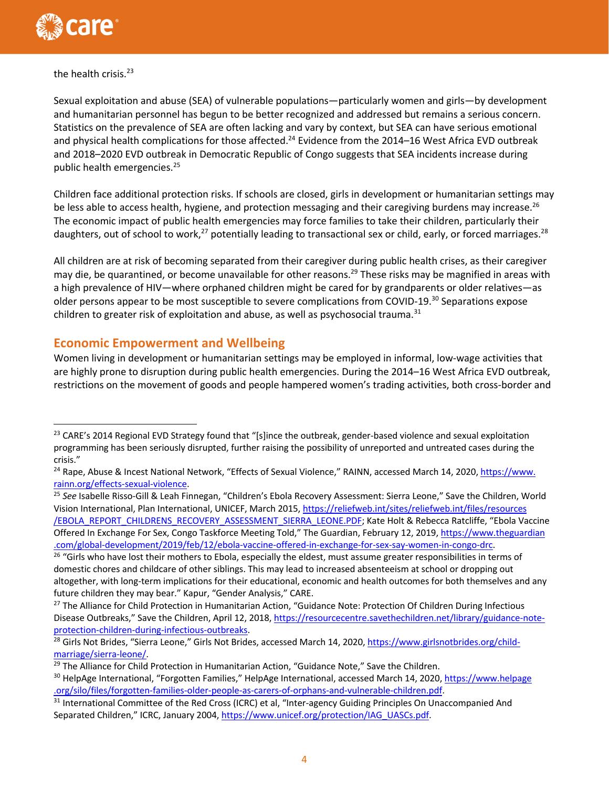

#### the health crisis.<sup>23</sup>

Sexual exploitation and abuse (SEA) of vulnerable populations—particularly women and girls—by development and humanitarian personnel has begun to be better recognized and addressed but remains a serious concern. Statistics on the prevalence of SEA are often lacking and vary by context, but SEA can have serious emotional and physical health complications for those affected.<sup>24</sup> Evidence from the 2014–16 West Africa EVD outbreak and 2018–2020 EVD outbreak in Democratic Republic of Congo suggests that SEA incidents increase during public health emergencies.<sup>25</sup>

Children face additional protection risks. If schools are closed, girls in development or humanitarian settings may be less able to access health, hygiene, and protection messaging and their caregiving burdens may increase.<sup>26</sup> The economic impact of public health emergencies may force families to take their children, particularly their daughters, out of school to work,<sup>27</sup> potentially leading to transactional sex or child, early, or forced marriages.<sup>28</sup>

All children are at risk of becoming separated from their caregiver during public health crises, as their caregiver may die, be quarantined, or become unavailable for other reasons.<sup>29</sup> These risks may be magnified in areas with a high prevalence of HIV—where orphaned children might be cared for by grandparents or older relatives—as older persons appear to be most susceptible to severe complications from COVID-19.<sup>30</sup> Separations expose children to greater risk of exploitation and abuse, as well as psychosocial trauma. $31$ 

# **Economic Empowerment and Wellbeing**

Women living in development or humanitarian settings may be employed in informal, low-wage activities that are highly prone to disruption during public health emergencies. During the 2014–16 West Africa EVD outbreak, restrictions on the movement of goods and people hampered women's trading activities, both cross-border and

<sup>31</sup> International Committee of the Red Cross (ICRC) et al, "Inter-agency Guiding Principles On Unaccompanied And Separated Children," ICRC, January 2004, https://www.unicef.org/protection/IAG\_UASCs.pdf.

<sup>&</sup>lt;sup>23</sup> CARE's 2014 Regional EVD Strategy found that "[s]ince the outbreak, gender-based violence and sexual exploitation programming has been seriously disrupted, further raising the possibility of unreported and untreated cases during the crisis."

<sup>&</sup>lt;sup>24</sup> Rape, Abuse & Incest National Network, "Effects of Sexual Violence," RAINN, accessed March 14, 2020, https://www. rainn.org/effects-sexual-violence.

<sup>25</sup> *See* Isabelle Risso-Gill & Leah Finnegan, "Children's Ebola Recovery Assessment: Sierra Leone," Save the Children, World Vision International, Plan International, UNICEF, March 2015, https://reliefweb.int/sites/reliefweb.int/files/resources /EBOLA\_REPORT\_CHILDRENS\_RECOVERY\_ASSESSMENT\_SIERRA\_LEONE.PDF; Kate Holt & Rebecca Ratcliffe, "Ebola Vaccine Offered In Exchange For Sex, Congo Taskforce Meeting Told," The Guardian, February 12, 2019, https://www.theguardian .com/global-development/2019/feb/12/ebola-vaccine-offered-in-exchange-for-sex-say-women-in-congo-drc.

<sup>&</sup>lt;sup>26</sup> "Girls who have lost their mothers to Ebola, especially the eldest, must assume greater responsibilities in terms of domestic chores and childcare of other siblings. This may lead to increased absenteeism at school or dropping out altogether, with long-term implications for their educational, economic and health outcomes for both themselves and any future children they may bear." Kapur, "Gender Analysis," CARE.

<sup>&</sup>lt;sup>27</sup> The Alliance for Child Protection in Humanitarian Action, "Guidance Note: Protection Of Children During Infectious Disease Outbreaks," Save the Children, April 12, 2018, https://resourcecentre.savethechildren.net/library/guidance-noteprotection-children-during-infectious-outbreaks.

<sup>&</sup>lt;sup>28</sup> Girls Not Brides, "Sierra Leone," Girls Not Brides, accessed March 14, 2020, https://www.girlsnotbrides.org/childmarriage/sierra-leone/.

<sup>&</sup>lt;sup>29</sup> The Alliance for Child Protection in Humanitarian Action, "Guidance Note," Save the Children.

<sup>30</sup> HelpAge International, "Forgotten Families," HelpAge International, accessed March 14, 2020, https://www.helpage .org/silo/files/forgotten-families-older-people-as-carers-of-orphans-and-vulnerable-children.pdf.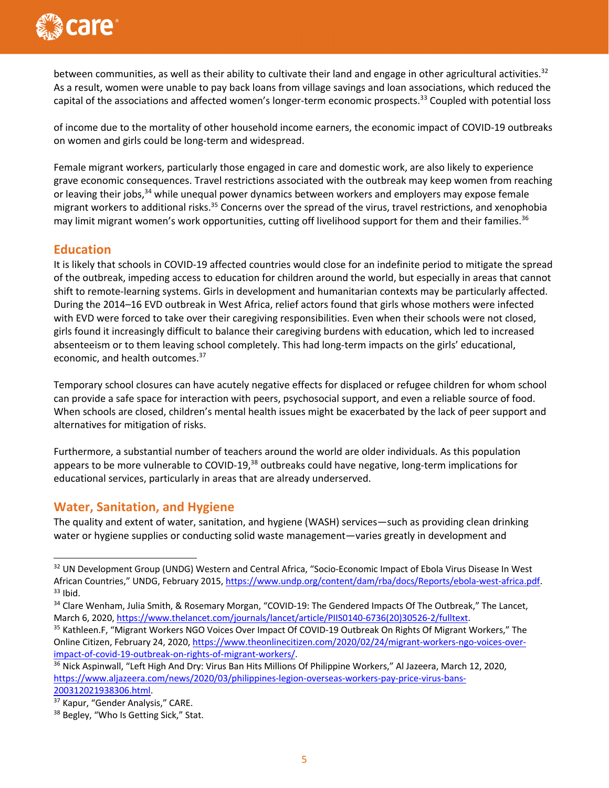

between communities, as well as their ability to cultivate their land and engage in other agricultural activities. $32$ As a result, women were unable to pay back loans from village savings and loan associations, which reduced the capital of the associations and affected women's longer-term economic prospects.<sup>33</sup> Coupled with potential loss

of income due to the mortality of other household income earners, the economic impact of COVID-19 outbreaks on women and girls could be long-term and widespread.

Female migrant workers, particularly those engaged in care and domestic work, are also likely to experience grave economic consequences. Travel restrictions associated with the outbreak may keep women from reaching or leaving their jobs,<sup>34</sup> while unequal power dynamics between workers and employers may expose female migrant workers to additional risks.<sup>35</sup> Concerns over the spread of the virus, travel restrictions, and xenophobia may limit migrant women's work opportunities, cutting off livelihood support for them and their families.<sup>36</sup>

#### **Education**

It is likely that schools in COVID-19 affected countries would close for an indefinite period to mitigate the spread of the outbreak, impeding access to education for children around the world, but especially in areas that cannot shift to remote-learning systems. Girls in development and humanitarian contexts may be particularly affected. During the 2014–16 EVD outbreak in West Africa, relief actors found that girls whose mothers were infected with EVD were forced to take over their caregiving responsibilities. Even when their schools were not closed, girls found it increasingly difficult to balance their caregiving burdens with education, which led to increased absenteeism or to them leaving school completely. This had long-term impacts on the girls' educational, economic, and health outcomes.37

Temporary school closures can have acutely negative effects for displaced or refugee children for whom school can provide a safe space for interaction with peers, psychosocial support, and even a reliable source of food. When schools are closed, children's mental health issues might be exacerbated by the lack of peer support and alternatives for mitigation of risks.

Furthermore, a substantial number of teachers around the world are older individuals. As this population appears to be more vulnerable to COVID-19,<sup>38</sup> outbreaks could have negative, long-term implications for educational services, particularly in areas that are already underserved.

## **Water, Sanitation, and Hygiene**

The quality and extent of water, sanitation, and hygiene (WASH) services—such as providing clean drinking water or hygiene supplies or conducting solid waste management—varies greatly in development and

<sup>&</sup>lt;sup>32</sup> UN Development Group (UNDG) Western and Central Africa, "Socio-Economic Impact of Ebola Virus Disease In West African Countries," UNDG, February 2015, https://www.undp.org/content/dam/rba/docs/Reports/ebola-west-africa.pdf.  $33$  Ibid.

<sup>&</sup>lt;sup>34</sup> Clare Wenham, Julia Smith, & Rosemary Morgan, "COVID-19: The Gendered Impacts Of The Outbreak," The Lancet, March 6, 2020, https://www.thelancet.com/journals/lancet/article/PIIS0140-6736(20)30526-2/fulltext.

<sup>&</sup>lt;sup>35</sup> Kathleen.F, "Migrant Workers NGO Voices Over Impact Of COVID-19 Outbreak On Rights Of Migrant Workers," The Online Citizen, February 24, 2020, https://www.theonlinecitizen.com/2020/02/24/migrant-workers-ngo-voices-overimpact-of-covid-19-outbreak-on-rights-of-migrant-workers/.

<sup>&</sup>lt;sup>36</sup> Nick Aspinwall, "Left High And Dry: Virus Ban Hits Millions Of Philippine Workers," Al Jazeera, March 12, 2020, https://www.aljazeera.com/news/2020/03/philippines-legion-overseas-workers-pay-price-virus-bans-200312021938306.html.

<sup>37</sup> Kapur, "Gender Analysis," CARE.

<sup>&</sup>lt;sup>38</sup> Begley, "Who Is Getting Sick," Stat.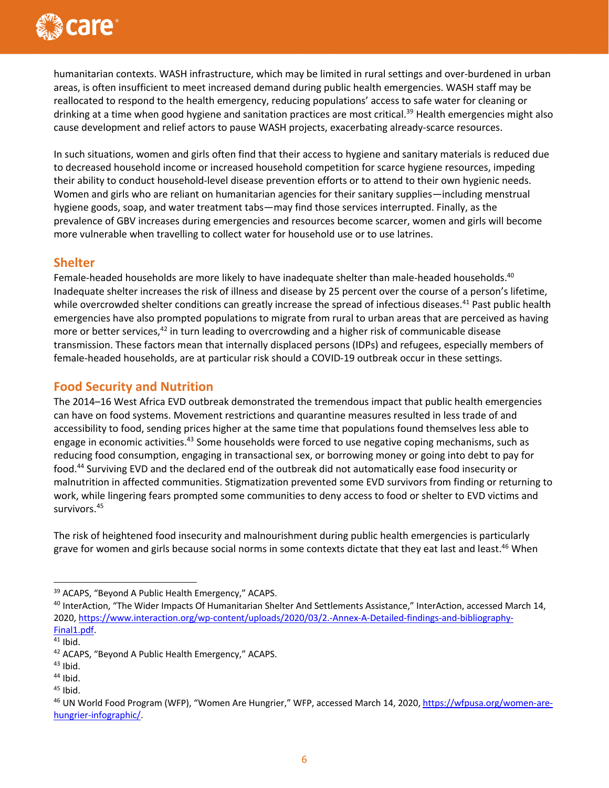

humanitarian contexts. WASH infrastructure, which may be limited in rural settings and over-burdened in urban areas, is often insufficient to meet increased demand during public health emergencies. WASH staff may be reallocated to respond to the health emergency, reducing populations' access to safe water for cleaning or drinking at a time when good hygiene and sanitation practices are most critical.<sup>39</sup> Health emergencies might also cause development and relief actors to pause WASH projects, exacerbating already-scarce resources.

In such situations, women and girls often find that their access to hygiene and sanitary materials is reduced due to decreased household income or increased household competition for scarce hygiene resources, impeding their ability to conduct household-level disease prevention efforts or to attend to their own hygienic needs. Women and girls who are reliant on humanitarian agencies for their sanitary supplies—including menstrual hygiene goods, soap, and water treatment tabs—may find those services interrupted. Finally, as the prevalence of GBV increases during emergencies and resources become scarcer, women and girls will become more vulnerable when travelling to collect water for household use or to use latrines.

#### **Shelter**

Female-headed households are more likely to have inadequate shelter than male-headed households.<sup>40</sup> Inadequate shelter increases the risk of illness and disease by 25 percent over the course of a person's lifetime, while overcrowded shelter conditions can greatly increase the spread of infectious diseases.<sup>41</sup> Past public health emergencies have also prompted populations to migrate from rural to urban areas that are perceived as having more or better services, $42$  in turn leading to overcrowding and a higher risk of communicable disease transmission. These factors mean that internally displaced persons (IDPs) and refugees, especially members of female-headed households, are at particular risk should a COVID-19 outbreak occur in these settings.

#### **Food Security and Nutrition**

The 2014–16 West Africa EVD outbreak demonstrated the tremendous impact that public health emergencies can have on food systems. Movement restrictions and quarantine measures resulted in less trade of and accessibility to food, sending prices higher at the same time that populations found themselves less able to engage in economic activities.<sup>43</sup> Some households were forced to use negative coping mechanisms, such as reducing food consumption, engaging in transactional sex, or borrowing money or going into debt to pay for food.44 Surviving EVD and the declared end of the outbreak did not automatically ease food insecurity or malnutrition in affected communities. Stigmatization prevented some EVD survivors from finding or returning to work, while lingering fears prompted some communities to deny access to food or shelter to EVD victims and survivors.45

The risk of heightened food insecurity and malnourishment during public health emergencies is particularly grave for women and girls because social norms in some contexts dictate that they eat last and least.<sup>46</sup> When

<sup>39</sup> ACAPS, "Beyond A Public Health Emergency," ACAPS.

<sup>&</sup>lt;sup>40</sup> InterAction, "The Wider Impacts Of Humanitarian Shelter And Settlements Assistance," InterAction, accessed March 14, 2020, https://www.interaction.org/wp-content/uploads/2020/03/2.-Annex-A-Detailed-findings-and-bibliography-Final1.pdf.

 $41$  Ibid.

<sup>&</sup>lt;sup>42</sup> ACAPS, "Beyond A Public Health Emergency," ACAPS.

 $43$  Ibid.

<sup>44</sup> Ibid.

 $45$  Ibid.

<sup>46</sup> UN World Food Program (WFP), "Women Are Hungrier," WFP, accessed March 14, 2020, https://wfpusa.org/women-arehungrier-infographic/.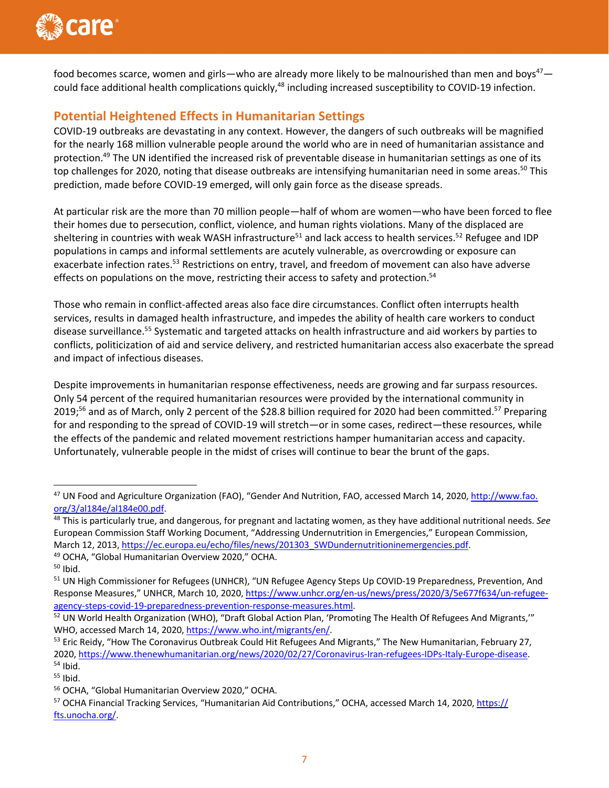

food becomes scarce, women and girls—who are already more likely to be malnourished than men and boys<sup>47</sup> could face additional health complications quickly,<sup>48</sup> including increased susceptibility to COVID-19 infection.

# **Potential Heightened Effects in Humanitarian Settings**

COVID-19 outbreaks are devastating in any context. However, the dangers of such outbreaks will be magnified for the nearly 168 million vulnerable people around the world who are in need of humanitarian assistance and protection.<sup>49</sup> The UN identified the increased risk of preventable disease in humanitarian settings as one of its top challenges for 2020, noting that disease outbreaks are intensifying humanitarian need in some areas.<sup>50</sup> This prediction, made before COVID-19 emerged, will only gain force as the disease spreads.

At particular risk are the more than 70 million people—half of whom are women—who have been forced to flee their homes due to persecution, conflict, violence, and human rights violations. Many of the displaced are sheltering in countries with weak WASH infrastructure<sup>51</sup> and lack access to health services.<sup>52</sup> Refugee and IDP populations in camps and informal settlements are acutely vulnerable, as overcrowding or exposure can exacerbate infection rates.<sup>53</sup> Restrictions on entry, travel, and freedom of movement can also have adverse effects on populations on the move, restricting their access to safety and protection.<sup>54</sup>

Those who remain in conflict-affected areas also face dire circumstances. Conflict often interrupts health services, results in damaged health infrastructure, and impedes the ability of health care workers to conduct disease surveillance.55 Systematic and targeted attacks on health infrastructure and aid workers by parties to conflicts, politicization of aid and service delivery, and restricted humanitarian access also exacerbate the spread and impact of infectious diseases.

Despite improvements in humanitarian response effectiveness, needs are growing and far surpass resources. Only 54 percent of the required humanitarian resources were provided by the international community in 2019;<sup>56</sup> and as of March, only 2 percent of the \$28.8 billion required for 2020 had been committed.<sup>57</sup> Preparing for and responding to the spread of COVID-19 will stretch—or in some cases, redirect—these resources, while the effects of the pandemic and related movement restrictions hamper humanitarian access and capacity. Unfortunately, vulnerable people in the midst of crises will continue to bear the brunt of the gaps.

<sup>47</sup> UN Food and Agriculture Organization (FAO), "Gender And Nutrition, FAO, accessed March 14, 2020, http://www.fao. org/3/al184e/al184e00.pdf.

<sup>48</sup> This is particularly true, and dangerous, for pregnant and lactating women, as they have additional nutritional needs. *See* European Commission Staff Working Document, "Addressing Undernutrition in Emergencies," European Commission, March 12, 2013, https://ec.europa.eu/echo/files/news/201303\_SWDundernutritioninemergencies.pdf. 49 OCHA, "Global Humanitarian Overview 2020," OCHA.

 $50$  Ibid.

<sup>&</sup>lt;sup>51</sup> UN High Commissioner for Refugees (UNHCR), "UN Refugee Agency Steps Up COVID-19 Preparedness, Prevention, And Response Measures," UNHCR, March 10, 2020, https://www.unhcr.org/en-us/news/press/2020/3/5e677f634/un-refugeeagency-steps-covid-19-preparedness-prevention-response-measures.html.

<sup>52</sup> UN World Health Organization (WHO), "Draft Global Action Plan, 'Promoting The Health Of Refugees And Migrants," WHO, accessed March 14, 2020, https://www.who.int/migrants/en/.

<sup>&</sup>lt;sup>53</sup> Eric Reidy, "How The Coronavirus Outbreak Could Hit Refugees And Migrants," The New Humanitarian, February 27, 2020, https://www.thenewhumanitarian.org/news/2020/02/27/Coronavirus-Iran-refugees-IDPs-Italy-Europe-disease.  $54$  Ibid.

<sup>55</sup> Ibid.

<sup>56</sup> OCHA, "Global Humanitarian Overview 2020," OCHA.

<sup>57</sup> OCHA Financial Tracking Services, "Humanitarian Aid Contributions," OCHA, accessed March 14, 2020, https:// fts.unocha.org/.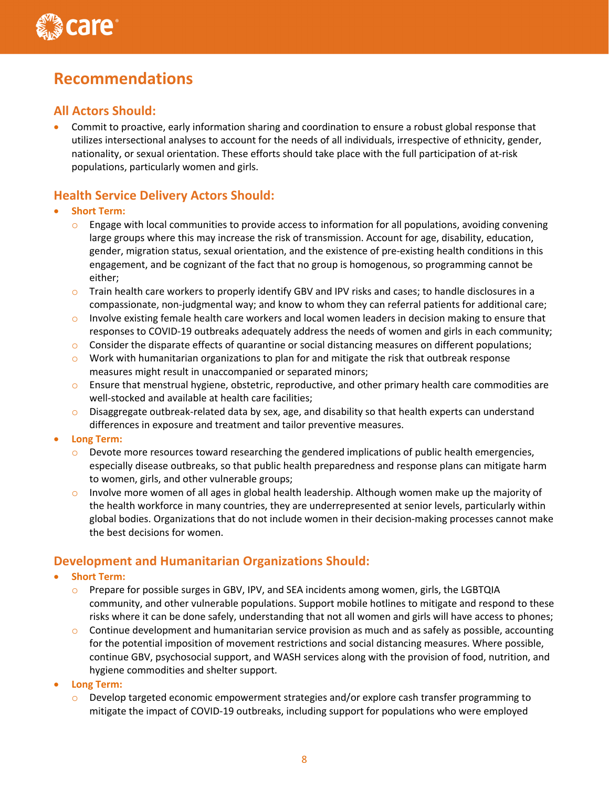

# **Recommendations**

# **All Actors Should:**

• Commit to proactive, early information sharing and coordination to ensure a robust global response that utilizes intersectional analyses to account for the needs of all individuals, irrespective of ethnicity, gender, nationality, or sexual orientation. These efforts should take place with the full participation of at-risk populations, particularly women and girls.

# **Health Service Delivery Actors Should:**

- **Short Term:**
	- $\circ$  Engage with local communities to provide access to information for all populations, avoiding convening large groups where this may increase the risk of transmission. Account for age, disability, education, gender, migration status, sexual orientation, and the existence of pre-existing health conditions in this engagement, and be cognizant of the fact that no group is homogenous, so programming cannot be either;
	- $\circ$  Train health care workers to properly identify GBV and IPV risks and cases; to handle disclosures in a compassionate, non-judgmental way; and know to whom they can referral patients for additional care;
	- o Involve existing female health care workers and local women leaders in decision making to ensure that responses to COVID-19 outbreaks adequately address the needs of women and girls in each community;
	- $\circ$  Consider the disparate effects of quarantine or social distancing measures on different populations;
	- $\circ$  Work with humanitarian organizations to plan for and mitigate the risk that outbreak response measures might result in unaccompanied or separated minors;
	- $\circ$  Ensure that menstrual hygiene, obstetric, reproductive, and other primary health care commodities are well-stocked and available at health care facilities;
	- $\circ$  Disaggregate outbreak-related data by sex, age, and disability so that health experts can understand differences in exposure and treatment and tailor preventive measures.
- **Long Term:**
	- $\circ$  Devote more resources toward researching the gendered implications of public health emergencies, especially disease outbreaks, so that public health preparedness and response plans can mitigate harm to women, girls, and other vulnerable groups;
	- o Involve more women of all ages in global health leadership. Although women make up the majority of the health workforce in many countries, they are underrepresented at senior levels, particularly within global bodies. Organizations that do not include women in their decision-making processes cannot make the best decisions for women.

# **Development and Humanitarian Organizations Should:**

- **Short Term:**
	- $\circ$  Prepare for possible surges in GBV, IPV, and SEA incidents among women, girls, the LGBTQIA community, and other vulnerable populations. Support mobile hotlines to mitigate and respond to these risks where it can be done safely, understanding that not all women and girls will have access to phones;
	- $\circ$  Continue development and humanitarian service provision as much and as safely as possible, accounting for the potential imposition of movement restrictions and social distancing measures. Where possible, continue GBV, psychosocial support, and WASH services along with the provision of food, nutrition, and hygiene commodities and shelter support.
- **Long Term:**
	- $\circ$  Develop targeted economic empowerment strategies and/or explore cash transfer programming to mitigate the impact of COVID-19 outbreaks, including support for populations who were employed